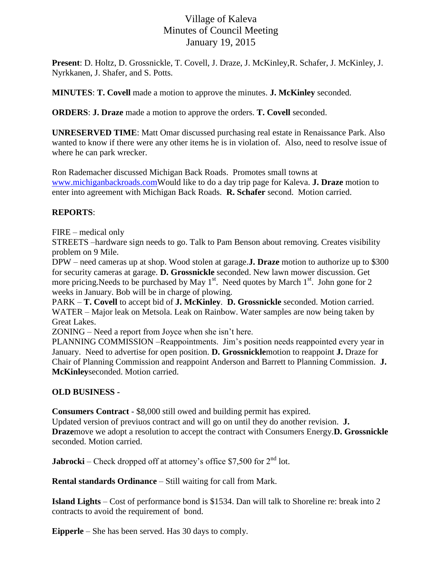## Village of Kaleva Minutes of Council Meeting January 19, 2015

**Present**: D. Holtz, D. Grossnickle, T. Covell, J. Draze, J. McKinley,R. Schafer, J. McKinley, J. Nyrkkanen, J. Shafer, and S. Potts.

**MINUTES**: **T. Covell** made a motion to approve the minutes. **J. McKinley** seconded.

**ORDERS**: **J. Draze** made a motion to approve the orders. **T. Covell** seconded.

**UNRESERVED TIME**: Matt Omar discussed purchasing real estate in Renaissance Park. Also wanted to know if there were any other items he is in violation of. Also, need to resolve issue of where he can park wrecker.

Ron Rademacher discussed Michigan Back Roads. Promotes small towns at [www.michiganbackroads.comW](http://www.michiganbackroads.com/)ould like to do a day trip page for Kaleva. **J. Draze** motion to enter into agreement with Michigan Back Roads. **R. Schafer** second. Motion carried.

## **REPORTS**:

FIRE – medical only

STREETS –hardware sign needs to go. Talk to Pam Benson about removing. Creates visibility problem on 9 Mile.

DPW – need cameras up at shop. Wood stolen at garage.**J. Draze** motion to authorize up to \$300 for security cameras at garage. **D. Grossnickle** seconded. New lawn mower discussion. Get more pricing. Needs to be purchased by May  $1<sup>st</sup>$ . Need quotes by March  $1<sup>st</sup>$ . John gone for 2 weeks in January. Bob will be in charge of plowing.

PARK – **T. Covell** to accept bid of **J. McKinley**. **D. Grossnickle** seconded. Motion carried. WATER – Major leak on Metsola. Leak on Rainbow. Water samples are now being taken by Great Lakes.

ZONING – Need a report from Joyce when she isn't here.

PLANNING COMMISSION –Reappointments. Jim's position needs reappointed every year in January. Need to advertise for open position. **D. Grossnickle**motion to reappoint **J.** Draze for Chair of Planning Commission and reappoint Anderson and Barrett to Planning Commission. **J. McKinley**seconded. Motion carried.

## **OLD BUSINESS -**

**Consumers Contract** - \$8,000 still owed and building permit has expired.

Updated version of previuos contract and will go on until they do another revision. **J. Draze**move we adopt a resolution to accept the contract with Consumers Energy.**D. Grossnickle** seconded. Motion carried.

**Jabrocki** – Check dropped off at attorney's office \$7,500 for 2<sup>nd</sup> lot.

**Rental standards Ordinance** – Still waiting for call from Mark.

**Island Lights** – Cost of performance bond is \$1534. Dan will talk to Shoreline re: break into 2 contracts to avoid the requirement of bond.

**Eipperle** – She has been served. Has 30 days to comply.